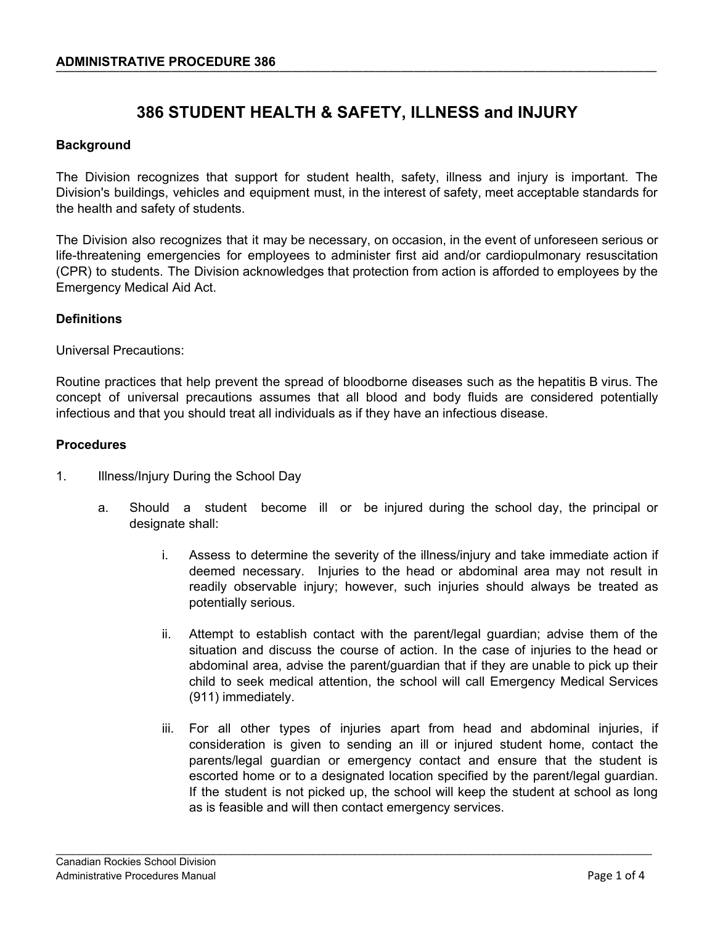# **386 STUDENT HEALTH & SAFETY, ILLNESS and INJURY**

# **Background**

The Division recognizes that support for student health, safety, illness and injury is important. The Division's buildings, vehicles and equipment must, in the interest of safety, meet acceptable standards for the health and safety of students.

The Division also recognizes that it may be necessary, on occasion, in the event of unforeseen serious or life-threatening emergencies for employees to administer first aid and/or cardiopulmonary resuscitation (CPR) to students. The Division acknowledges that protection from action is afforded to employees by the Emergency Medical Aid Act.

## **Definitions**

Universal Precautions:

Routine practices that help prevent the spread of bloodborne diseases such as the hepatitis B virus. The concept of universal precautions assumes that all blood and body fluids are considered potentially infectious and that you should treat all individuals as if they have an infectious disease.

### **Procedures**

- 1. Illness/Injury During the School Day
	- a. Should a student become ill or be injured during the school day, the principal or designate shall:
		- i. Assess to determine the severity of the illness/injury and take immediate action if deemed necessary. Injuries to the head or abdominal area may not result in readily observable injury; however, such injuries should always be treated as potentially serious.
		- ii. Attempt to establish contact with the parent/legal guardian; advise them of the situation and discuss the course of action. In the case of injuries to the head or abdominal area, advise the parent/guardian that if they are unable to pick up their child to seek medical attention, the school will call Emergency Medical Services (911) immediately.
		- iii. For all other types of injuries apart from head and abdominal injuries, if consideration is given to sending an ill or injured student home, contact the parents/legal guardian or emergency contact and ensure that the student is escorted home or to a designated location specified by the parent/legal guardian. If the student is not picked up, the school will keep the student at school as long as is feasible and will then contact emergency services.

\_\_\_\_\_\_\_\_\_\_\_\_\_\_\_\_\_\_\_\_\_\_\_\_\_\_\_\_\_\_\_\_\_\_\_\_\_\_\_\_\_\_\_\_\_\_\_\_\_\_\_\_\_\_\_\_\_\_\_\_\_\_\_\_\_\_\_\_\_\_\_\_\_\_\_\_\_\_\_\_\_\_\_\_\_\_\_\_\_\_\_\_\_\_\_\_\_\_\_\_\_\_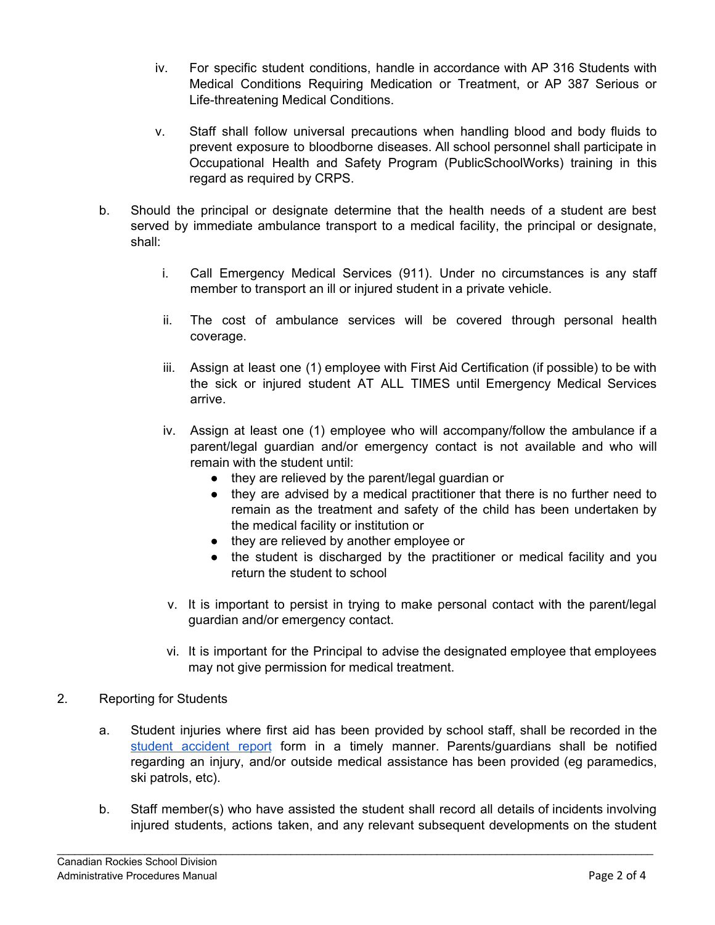- iv. For specific student conditions, handle in accordance with AP 316 Students with Medical Conditions Requiring Medication or Treatment, or AP 387 Serious or Life-threatening Medical Conditions.
- v. Staff shall follow universal precautions when handling blood and body fluids to prevent exposure to bloodborne diseases. All school personnel shall participate in Occupational Health and Safety Program (PublicSchoolWorks) training in this regard as required by CRPS.
- b. Should the principal or designate determine that the health needs of a student are best served by immediate ambulance transport to a medical facility, the principal or designate, shall:
	- i. Call Emergency Medical Services (911). Under no circumstances is any staff member to transport an ill or injured student in a private vehicle.
	- ii. The cost of ambulance services will be covered through personal health coverage.
	- iii. Assign at least one (1) employee with First Aid Certification (if possible) to be with the sick or injured student AT ALL TIMES until Emergency Medical Services arrive.
	- iv. Assign at least one (1) employee who will accompany/follow the ambulance if a parent/legal guardian and/or emergency contact is not available and who will remain with the student until:
		- they are relieved by the parent/legal guardian or
		- they are advised by a medical practitioner that there is no further need to remain as the treatment and safety of the child has been undertaken by the medical facility or institution or
		- they are relieved by another employee or
		- the student is discharged by the practitioner or medical facility and you return the student to school
	- v. It is important to persist in trying to make personal contact with the parent/legal guardian and/or emergency contact.
	- vi. It is important for the Principal to advise the designated employee that employees may not give permission for medical treatment.
- 2. Reporting for Students
	- a. Student injuries where first aid has been provided by school staff, shall be recorded in the student [accident](https://crps.ca/Health%20and%20Safety.php) report form in a timely manner. Parents/guardians shall be notified regarding an injury, and/or outside medical assistance has been provided (eg paramedics, ski patrols, etc).
	- b. Staff member(s) who have assisted the student shall record all details of incidents involving injured students, actions taken, and any relevant subsequent developments on the student

\_\_\_\_\_\_\_\_\_\_\_\_\_\_\_\_\_\_\_\_\_\_\_\_\_\_\_\_\_\_\_\_\_\_\_\_\_\_\_\_\_\_\_\_\_\_\_\_\_\_\_\_\_\_\_\_\_\_\_\_\_\_\_\_\_\_\_\_\_\_\_\_\_\_\_\_\_\_\_\_\_\_\_\_\_\_\_\_\_\_\_\_\_\_\_\_\_\_\_\_\_\_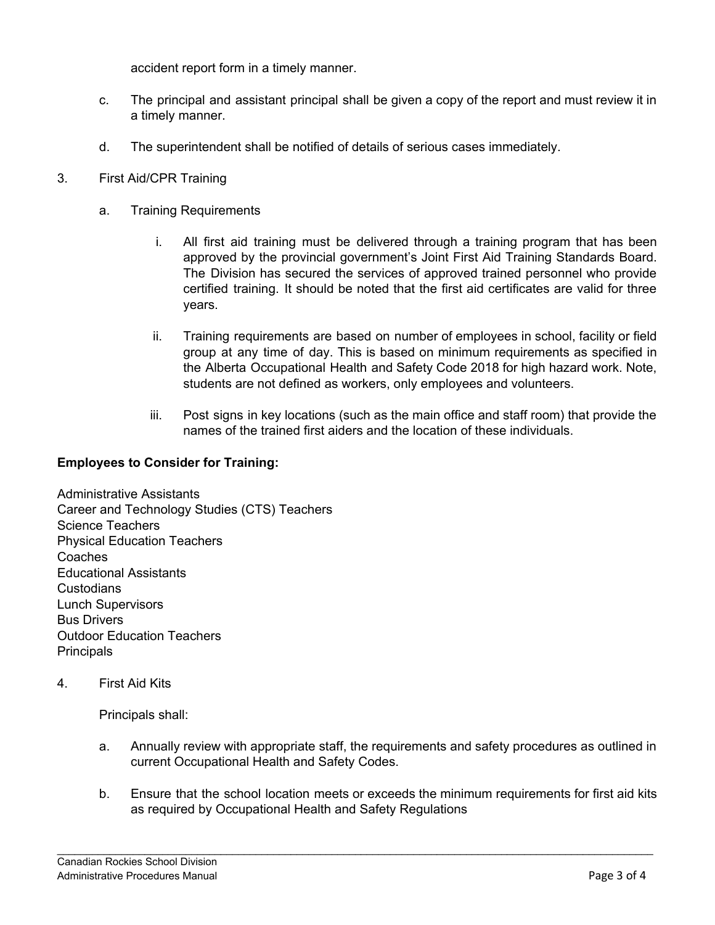accident report form in a timely manner.

- c. The principal and assistant principal shall be given a copy of the report and must review it in a timely manner.
- d. The superintendent shall be notified of details of serious cases immediately.
- 3. First Aid/CPR Training
	- a. Training Requirements
		- i. All first aid training must be delivered through a training program that has been approved by the provincial government's Joint First Aid Training Standards Board. The Division has secured the services of approved trained personnel who provide certified training. It should be noted that the first aid certificates are valid for three years.
		- ii. Training requirements are based on number of employees in school, facility or field group at any time of day. This is based on minimum requirements as specified in the Alberta Occupational Health and Safety Code 2018 for high hazard work. Note, students are not defined as workers, only employees and volunteers.
		- iii. Post signs in key locations (such as the main office and staff room) that provide the names of the trained first aiders and the location of these individuals.

# **Employees to Consider for Training:**

Administrative Assistants Career and Technology Studies (CTS) Teachers Science Teachers Physical Education Teachers Coaches Educational Assistants **Custodians** Lunch Supervisors Bus Drivers Outdoor Education Teachers **Principals** 

4. First Aid Kits

Principals shall:

- a. Annually review with appropriate staff, the requirements and safety procedures as outlined in current Occupational Health and Safety Codes.
- b. Ensure that the school location meets or exceeds the minimum requirements for first aid kits as required by Occupational Health and Safety Regulations

\_\_\_\_\_\_\_\_\_\_\_\_\_\_\_\_\_\_\_\_\_\_\_\_\_\_\_\_\_\_\_\_\_\_\_\_\_\_\_\_\_\_\_\_\_\_\_\_\_\_\_\_\_\_\_\_\_\_\_\_\_\_\_\_\_\_\_\_\_\_\_\_\_\_\_\_\_\_\_\_\_\_\_\_\_\_\_\_\_\_\_\_\_\_\_\_\_\_\_\_\_\_